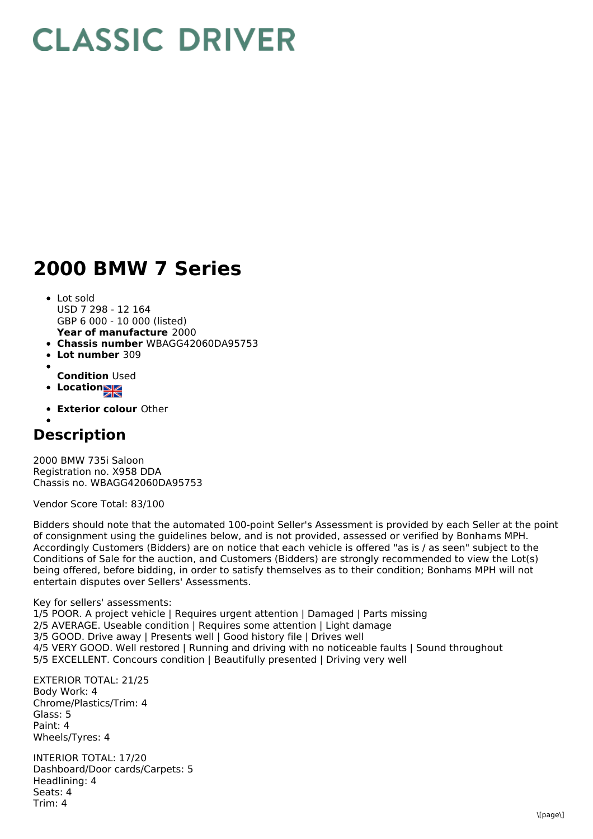## **CLASSIC DRIVER**

## **2000 BMW 7 Series**

- **Year of manufacture** 2000 Lot sold USD 7 298 - 12 164 GBP 6 000 - 10 000 (listed)
- **Chassis number** WBAGG42060DA95753
- **Lot number** 309
- **Condition** Used
- **Location**
- **Exterior colour** Other

## **Description**

2000 BMW 735i Saloon Registration no. X958 DDA Chassis no. WBAGG42060DA95753

Vendor Score Total: 83/100

Bidders should note that the automated 100-point Seller's Assessment is provided by each Seller at the point of consignment using the guidelines below, and is not provided, assessed or verified by Bonhams MPH. Accordingly Customers (Bidders) are on notice that each vehicle is offered "as is / as seen" subject to the Conditions of Sale for the auction, and Customers (Bidders) are strongly recommended to view the Lot(s) being offered, before bidding, in order to satisfy themselves as to their condition; Bonhams MPH will not entertain disputes over Sellers' Assessments.

Key for sellers' assessments:

1/5 POOR. A project vehicle | Requires urgent attention | Damaged | Parts missing 2/5 AVERAGE. Useable condition | Requires some attention | Light damage 3/5 GOOD. Drive away | Presents well | Good history file | Drives well 4/5 VERY GOOD. Well restored | Running and driving with no noticeable faults | Sound throughout 5/5 EXCELLENT. Concours condition | Beautifully presented | Driving very well

EXTERIOR TOTAL: 21/25 Body Work: 4 Chrome/Plastics/Trim: 4 Glass: 5 Paint: 4 Wheels/Tyres: 4

INTERIOR TOTAL: 17/20 Dashboard/Door cards/Carpets: 5 Headlining: 4 Seats: 4 Trim: 4